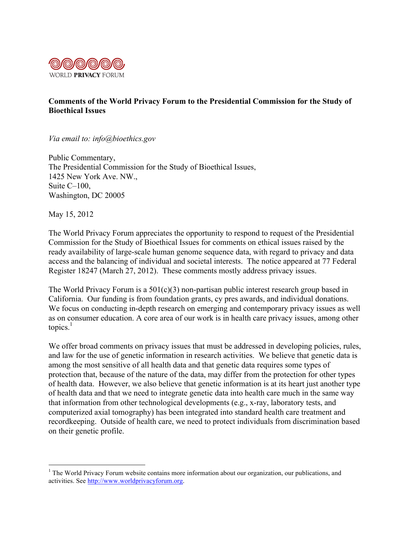

## **Comments of the World Privacy Forum to the Presidential Commission for the Study of Bioethical Issues**

*Via email to: info@bioethics.gov*

Public Commentary, The Presidential Commission for the Study of Bioethical Issues, 1425 New York Ave. NW., Suite C–100, Washington, DC 20005

May 15, 2012

The World Privacy Forum appreciates the opportunity to respond to request of the Presidential Commission for the Study of Bioethical Issues for comments on ethical issues raised by the ready availability of large-scale human genome sequence data, with regard to privacy and data access and the balancing of individual and societal interests. The notice appeared at 77 Federal Register 18247 (March 27, 2012). These comments mostly address privacy issues.

The World Privacy Forum is a 501(c)(3) non-partisan public interest research group based in California. Our funding is from foundation grants, cy pres awards, and individual donations. We focus on conducting in-depth research on emerging and contemporary privacy issues as well as on consumer education. A core area of our work is in health care privacy issues, among other topics. $<sup>1</sup>$ </sup>

We offer broad comments on privacy issues that must be addressed in developing policies, rules, and law for the use of genetic information in research activities. We believe that genetic data is among the most sensitive of all health data and that genetic data requires some types of protection that, because of the nature of the data, may differ from the protection for other types of health data. However, we also believe that genetic information is at its heart just another type of health data and that we need to integrate genetic data into health care much in the same way that information from other technological developments (e.g., x-ray, laboratory tests, and computerized axial tomography) has been integrated into standard health care treatment and recordkeeping. Outside of health care, we need to protect individuals from discrimination based on their genetic profile.

 $\frac{1}{1}$ <sup>1</sup> The World Privacy Forum website contains more information about our organization, our publications, and activities. See http://www.worldprivacyforum.org.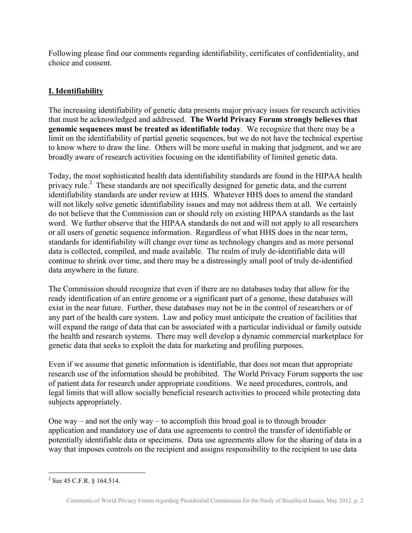Following please find our comments regarding identifiability, certificates of confidentiality, and choice and consent.

## **I. Identifiability**

The increasing identifiability of genetic data presents major privacy issues for research activities that must be acknowledged and addressed. **The World Privacy Forum strongly believes that genomic sequences must be treated as identifiable today**. We recognize that there may be a limit on the identifiability of partial genetic sequences, but we do not have the technical expertise to know where to draw the line. Others will be more useful in making that judgment, and we are broadly aware of research activities focusing on the identifiability of limited genetic data.

Today, the most sophisticated health data identifiability standards are found in the HIPAA health privacy rule.<sup>2</sup> These standards are not specifically designed for genetic data, and the current identifiability standards are under review at HHS. Whatever HHS does to amend the standard will not likely solve genetic identifiability issues and may not address them at all. We certainly do not believe that the Commission can or should rely on existing HIPAA standards as the last word. We further observe that the HIPAA standards do not and will not apply to all researchers or all users of genetic sequence information. Regardless of what HHS does in the near term, standards for identifiability will change over time as technology changes and as more personal data is collected, compiled, and made available. The realm of truly de-identifiable data will continue to shrink over time, and there may be a distressingly small pool of truly de-identified data anywhere in the future.

The Commission should recognize that even if there are no databases today that allow for the ready identification of an entire genome or a significant part of a genome, these databases will exist in the near future. Further, these databases may not be in the control of researchers or of any part of the health care system. Law and policy must anticipate the creation of facilities that will expand the range of data that can be associated with a particular individual or family outside the health and research systems. There may well develop a dynamic commercial marketplace for genetic data that seeks to exploit the data for marketing and profiling purposes.

Even if we assume that genetic information is identifiable, that does not mean that appropriate research use of the information should be prohibited. The World Privacy Forum supports the use of patient data for research under appropriate conditions. We need procedures, controls, and legal limits that will allow socially beneficial research activities to proceed while protecting data subjects appropriately.

One way – and not the only way – to accomplish this broad goal is to through broader application and mandatory use of data use agreements to control the transfer of identifiable or potentially identifiable data or specimens. Data use agreements allow for the sharing of data in a way that imposes controls on the recipient and assigns responsibility to the recipient to use data

 $\frac{1}{2}$  $2$  See 45 C.F.R. § 164.514.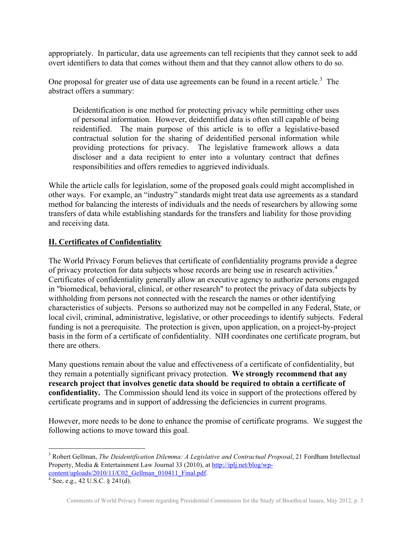appropriately. In particular, data use agreements can tell recipients that they cannot seek to add overt identifiers to data that comes without them and that they cannot allow others to do so.

One proposal for greater use of data use agreements can be found in a recent article.<sup>3</sup> The abstract offers a summary:

Deidentification is one method for protecting privacy while permitting other uses of personal information. However, deidentified data is often still capable of being reidentified. The main purpose of this article is to offer a legislative-based contractual solution for the sharing of deidentified personal information while providing protections for privacy. The legislative framework allows a data discloser and a data recipient to enter into a voluntary contract that defines responsibilities and offers remedies to aggrieved individuals.

While the article calls for legislation, some of the proposed goals could might accomplished in other ways. For example, an "industry" standards might treat data use agreements as a standard method for balancing the interests of individuals and the needs of researchers by allowing some transfers of data while establishing standards for the transfers and liability for those providing and receiving data.

## **II. Certificates of Confidentiality**

The World Privacy Forum believes that certificate of confidentiality programs provide a degree of privacy protection for data subjects whose records are being use in research activities.<sup>4</sup> Certificates of confidentiality generally allow an executive agency to authorize persons engaged in "biomedical, behavioral, clinical, or other research" to protect the privacy of data subjects by withholding from persons not connected with the research the names or other identifying characteristics of subjects. Persons so authorized may not be compelled in any Federal, State, or local civil, criminal, administrative, legislative, or other proceedings to identify subjects. Federal funding is not a prerequisite. The protection is given, upon application, on a project-by-project basis in the form of a certificate of confidentiality. NIH coordinates one certificate program, but there are others.

Many questions remain about the value and effectiveness of a certificate of confidentiality, but they remain a potentially significant privacy protection. **We strongly recommend that any research project that involves genetic data should be required to obtain a certificate of confidentiality.** The Commission should lend its voice in support of the protections offered by certificate programs and in support of addressing the deficiencies in current programs.

However, more needs to be done to enhance the promise of certificate programs. We suggest the following actions to move toward this goal.

<sup>&</sup>lt;sup>2</sup><br>3 <sup>3</sup> Robert Gellman, *The Deidentification Dilemma: A Legislative and Contractual Proposal*, 21 Fordham Intellectual Property, Media & Entertainment Law Journal 33 (2010), at http://iplj.net/blog/wp $content-uploads/2010/11/CO2$  Gellman\_010411 Final.pdf.

 $\frac{4}{\sqrt{3}}$  See, e.g., 42 U.S.C. § 241(d).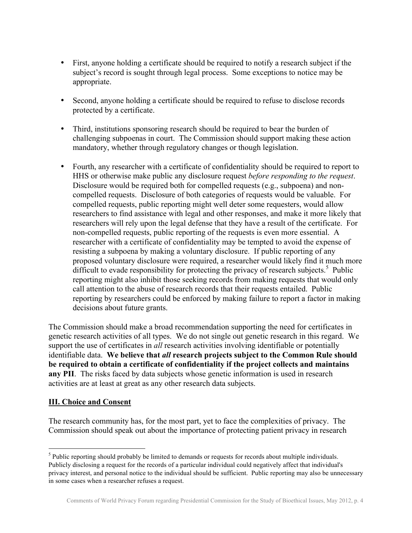- First, anyone holding a certificate should be required to notify a research subject if the subject's record is sought through legal process. Some exceptions to notice may be appropriate.
- Second, anyone holding a certificate should be required to refuse to disclose records protected by a certificate.
- Third, institutions sponsoring research should be required to bear the burden of challenging subpoenas in court. The Commission should support making these action mandatory, whether through regulatory changes or though legislation.
- Fourth, any researcher with a certificate of confidentiality should be required to report to HHS or otherwise make public any disclosure request *before responding to the request*. Disclosure would be required both for compelled requests (e.g., subpoena) and noncompelled requests. Disclosure of both categories of requests would be valuable. For compelled requests, public reporting might well deter some requesters, would allow researchers to find assistance with legal and other responses, and make it more likely that researchers will rely upon the legal defense that they have a result of the certificate. For non-compelled requests, public reporting of the requests is even more essential. A researcher with a certificate of confidentiality may be tempted to avoid the expense of resisting a subpoena by making a voluntary disclosure. If public reporting of any proposed voluntary disclosure were required, a researcher would likely find it much more difficult to evade responsibility for protecting the privacy of research subjects.<sup>5</sup> Public reporting might also inhibit those seeking records from making requests that would only call attention to the abuse of research records that their requests entailed. Public reporting by researchers could be enforced by making failure to report a factor in making decisions about future grants.

The Commission should make a broad recommendation supporting the need for certificates in genetic research activities of all types. We do not single out genetic research in this regard. We support the use of certificates in *all* research activities involving identifiable or potentially identifiable data. **We believe that** *all* **research projects subject to the Common Rule should be required to obtain a certificate of confidentiality if the project collects and maintains any PII**. The risks faced by data subjects whose genetic information is used in research activities are at least at great as any other research data subjects.

## **III. Choice and Consent**

The research community has, for the most part, yet to face the complexities of privacy. The Commission should speak out about the importance of protecting patient privacy in research

<sup>&</sup>lt;sup>5</sup> Public reporting should probably be limited to demands or requests for records about multiple individuals. Publicly disclosing a request for the records of a particular individual could negatively affect that individual's privacy interest, and personal notice to the individual should be sufficient. Public reporting may also be unnecessary in some cases when a researcher refuses a request.